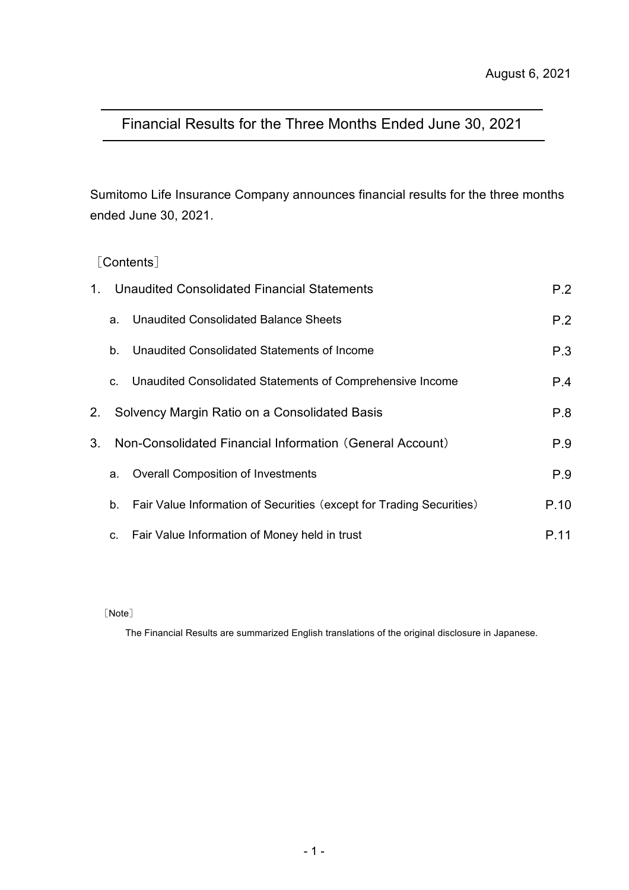# Financial Results for the Three Months Ended June 30, 2021

Sumitomo Life Insurance Company announces financial results for the three months ended June 30, 2021.

[Contents]

| $1_{-}$ |    | Unaudited Consolidated Financial Statements                          | P.2  |
|---------|----|----------------------------------------------------------------------|------|
|         | a. | Unaudited Consolidated Balance Sheets                                | P.2  |
|         | b. | Unaudited Consolidated Statements of Income                          | P.3  |
|         | C. | Unaudited Consolidated Statements of Comprehensive Income            | P.4  |
| 2.      |    | Solvency Margin Ratio on a Consolidated Basis                        | P.8  |
| 3.      |    | Non-Consolidated Financial Information (General Account)             | P.9  |
|         | a. | <b>Overall Composition of Investments</b>                            | P.9  |
|         | b. | Fair Value Information of Securities (except for Trading Securities) | P.10 |
|         | C. | Fair Value Information of Money held in trust                        | P.11 |

[Note]

The Financial Results are summarized English translations of the original disclosure in Japanese.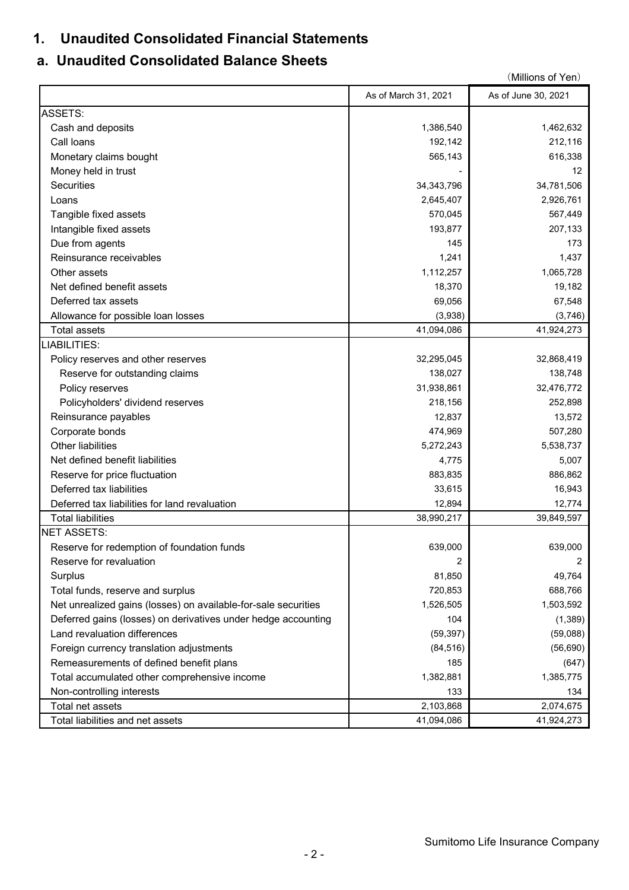# **1. Unaudited Consolidated Financial Statements**

# **a. Unaudited Consolidated Balance Sheets**

|                                                                |                      | (Millions of Yen)   |
|----------------------------------------------------------------|----------------------|---------------------|
|                                                                | As of March 31, 2021 | As of June 30, 2021 |
| <b>ASSETS:</b>                                                 |                      |                     |
| Cash and deposits                                              | 1,386,540            | 1,462,632           |
| Call loans                                                     | 192,142              | 212,116             |
| Monetary claims bought                                         | 565,143              | 616,338             |
| Money held in trust                                            |                      | $12 \overline{ }$   |
| Securities                                                     | 34, 343, 796         | 34,781,506          |
| Loans                                                          | 2,645,407            | 2,926,761           |
| Tangible fixed assets                                          | 570,045              | 567,449             |
| Intangible fixed assets                                        | 193,877              | 207,133             |
| Due from agents                                                | 145                  | 173                 |
| Reinsurance receivables                                        | 1,241                | 1,437               |
| Other assets                                                   | 1,112,257            | 1,065,728           |
| Net defined benefit assets                                     | 18,370               | 19,182              |
| Deferred tax assets                                            | 69,056               | 67,548              |
| Allowance for possible loan losses                             | (3,938)              | (3,746)             |
| <b>Total assets</b>                                            | 41,094,086           | 41,924,273          |
| LIABILITIES:                                                   |                      |                     |
| Policy reserves and other reserves                             | 32,295,045           | 32,868,419          |
| Reserve for outstanding claims                                 | 138,027              | 138,748             |
| Policy reserves                                                | 31,938,861           | 32,476,772          |
| Policyholders' dividend reserves                               | 218,156              | 252,898             |
| Reinsurance payables                                           | 12,837               | 13,572              |
| Corporate bonds                                                | 474,969              | 507,280             |
| Other liabilities                                              | 5,272,243            | 5,538,737           |
| Net defined benefit liabilities                                | 4,775                | 5,007               |
| Reserve for price fluctuation                                  | 883,835              | 886,862             |
| Deferred tax liabilities                                       | 33,615               | 16,943              |
| Deferred tax liabilities for land revaluation                  | 12,894               | 12,774              |
| <b>Total liabilities</b>                                       | 38,990,217           | 39,849,597          |
| <b>NET ASSETS:</b>                                             |                      |                     |
| Reserve for redemption of foundation funds                     | 639,000              | 639,000             |
| Reserve for revaluation                                        | 2                    |                     |
| Surplus                                                        | 81,850               | 49,764              |
| Total funds, reserve and surplus                               | 720,853              | 688,766             |
| Net unrealized gains (losses) on available-for-sale securities | 1,526,505            | 1,503,592           |
| Deferred gains (losses) on derivatives under hedge accounting  | 104                  | (1, 389)            |
| Land revaluation differences                                   | (59, 397)            | (59,088)            |
| Foreign currency translation adjustments                       | (84, 516)            | (56, 690)           |
| Remeasurements of defined benefit plans                        | 185                  | (647)               |
| Total accumulated other comprehensive income                   | 1,382,881            | 1,385,775           |
| Non-controlling interests                                      | 133                  | 134                 |
| Total net assets                                               | 2,103,868            | 2,074,675           |
| Total liabilities and net assets                               | 41,094,086           | 41,924,273          |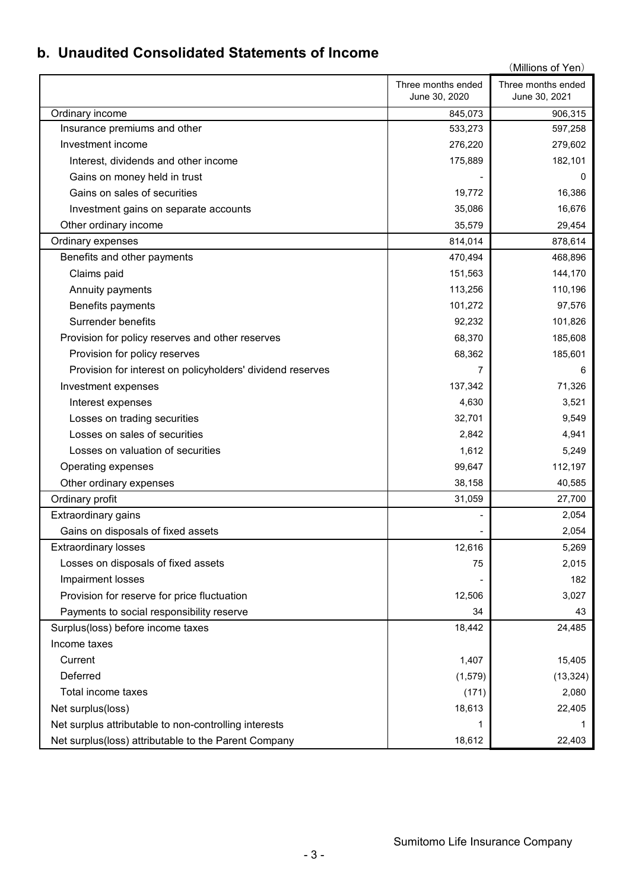# **b. Unaudited Consolidated Statements of Income**

|                                                            |                                     | (Millions of Yen)                   |
|------------------------------------------------------------|-------------------------------------|-------------------------------------|
|                                                            | Three months ended<br>June 30, 2020 | Three months ended<br>June 30, 2021 |
| Ordinary income                                            | 845,073                             | 906,315                             |
| Insurance premiums and other                               | 533,273                             | 597,258                             |
| Investment income                                          | 276,220                             | 279,602                             |
| Interest, dividends and other income                       | 175,889                             | 182,101                             |
| Gains on money held in trust                               |                                     | 0                                   |
| Gains on sales of securities                               | 19,772                              | 16,386                              |
| Investment gains on separate accounts                      | 35,086                              | 16,676                              |
| Other ordinary income                                      | 35,579                              | 29,454                              |
| Ordinary expenses                                          | 814,014                             | 878,614                             |
| Benefits and other payments                                | 470,494                             | 468,896                             |
| Claims paid                                                | 151,563                             | 144,170                             |
| Annuity payments                                           | 113,256                             | 110,196                             |
| Benefits payments                                          | 101,272                             | 97,576                              |
| <b>Surrender benefits</b>                                  | 92,232                              | 101,826                             |
| Provision for policy reserves and other reserves           | 68,370                              | 185,608                             |
| Provision for policy reserves                              | 68,362                              | 185,601                             |
| Provision for interest on policyholders' dividend reserves | 7                                   | 6                                   |
| Investment expenses                                        | 137,342                             | 71,326                              |
| Interest expenses                                          | 4,630                               | 3,521                               |
| Losses on trading securities                               | 32,701                              | 9,549                               |
| Losses on sales of securities                              | 2,842                               | 4,941                               |
| Losses on valuation of securities                          | 1,612                               | 5,249                               |
| Operating expenses                                         | 99,647                              | 112,197                             |
| Other ordinary expenses                                    | 38,158                              | 40,585                              |
| Ordinary profit                                            | 31,059                              | 27,700                              |
| Extraordinary gains                                        |                                     | 2,054                               |
| Gains on disposals of fixed assets                         |                                     | 2,054                               |
| <b>Extraordinary losses</b>                                | 12,616                              | 5,269                               |
| Losses on disposals of fixed assets                        | 75                                  | 2,015                               |
| Impairment losses                                          |                                     | 182                                 |
| Provision for reserve for price fluctuation                | 12,506                              | 3,027                               |
| Payments to social responsibility reserve                  | 34                                  | 43                                  |
| Surplus(loss) before income taxes                          | 18,442                              | 24,485                              |
| Income taxes                                               |                                     |                                     |
| Current                                                    | 1,407                               | 15,405                              |
| Deferred                                                   | (1, 579)                            | (13, 324)                           |
| Total income taxes                                         | (171)                               | 2,080                               |
| Net surplus(loss)                                          | 18,613                              | 22,405                              |
| Net surplus attributable to non-controlling interests      | 1                                   | 1                                   |
| Net surplus(loss) attributable to the Parent Company       | 18,612                              | 22,403                              |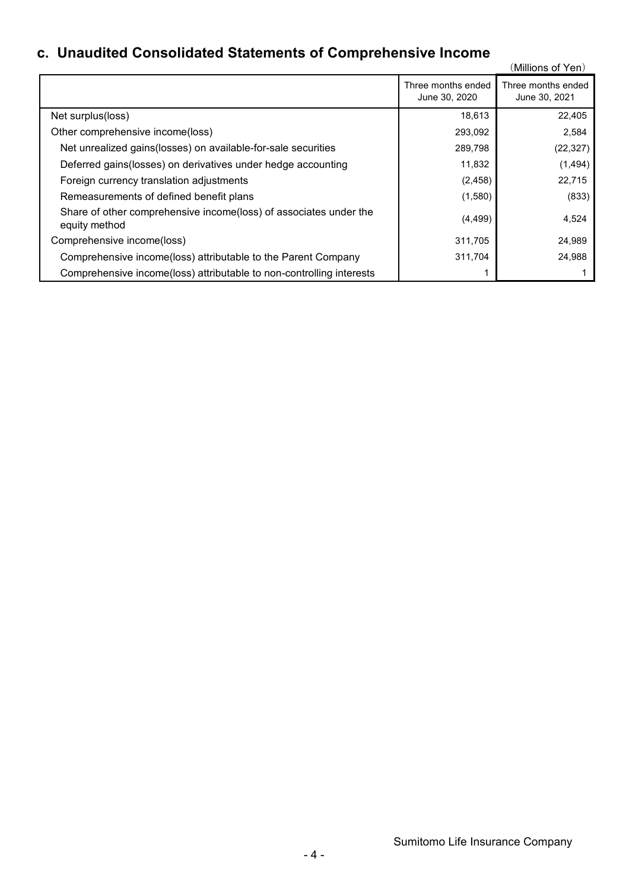# **c. Unaudited Consolidated Statements of Comprehensive Income**

|                                                                                    |                                     | (Millions of Yen)                   |
|------------------------------------------------------------------------------------|-------------------------------------|-------------------------------------|
|                                                                                    | Three months ended<br>June 30, 2020 | Three months ended<br>June 30, 2021 |
| Net surplus(loss)                                                                  | 18,613                              | 22,405                              |
| Other comprehensive income(loss)                                                   | 293,092                             | 2,584                               |
| Net unrealized gains (losses) on available-for-sale securities                     | 289,798                             | (22, 327)                           |
| Deferred gains (losses) on derivatives under hedge accounting                      | 11,832                              | (1, 494)                            |
| Foreign currency translation adjustments                                           | (2, 458)                            | 22,715                              |
| Remeasurements of defined benefit plans                                            | (1,580)                             | (833)                               |
| Share of other comprehensive income(loss) of associates under the<br>equity method | (4, 499)                            | 4,524                               |
| Comprehensive income(loss)                                                         | 311,705                             | 24,989                              |
| Comprehensive income(loss) attributable to the Parent Company                      | 311,704                             | 24,988                              |
| Comprehensive income(loss) attributable to non-controlling interests               |                                     |                                     |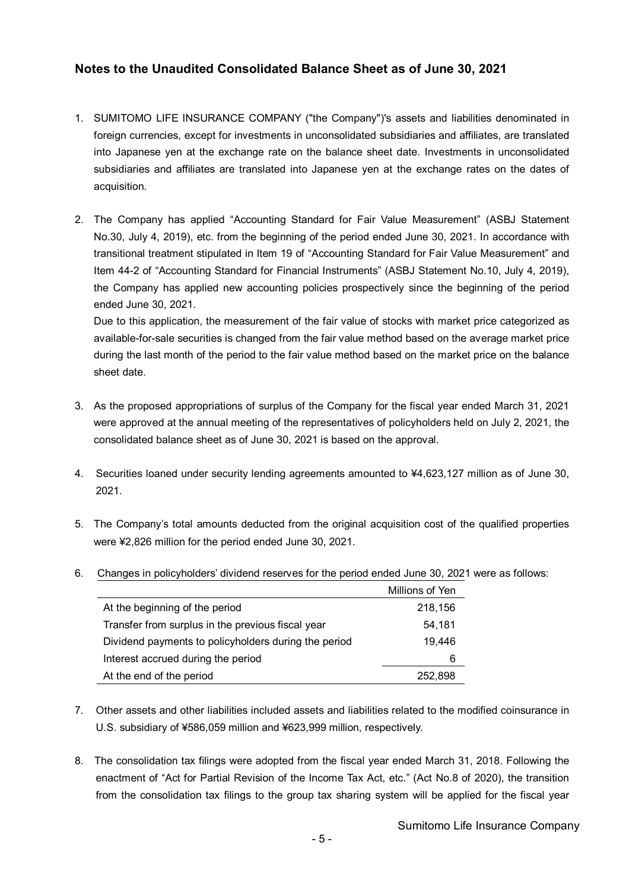## **Notes to the Unaudited Consolidated Balance Sheet as of June 30, 2021**

- 1. SUMITOMO LIFE INSURANCE COMPANY ("the Company")'s assets and liabilities denominated in foreign currencies, except for investments in unconsolidated subsidiaries and affiliates, are translated into Japanese yen at the exchange rate on the balance sheet date. Investments in unconsolidated subsidiaries and affiliates are translated into Japanese yen at the exchange rates on the dates of acquisition.
- 2. The Company has applied "Accounting Standard for Fair Value Measurement" (ASBJ Statement No.30, July 4, 2019), etc. from the beginning of the period ended June 30, 2021. In accordance with transitional treatment stipulated in Item 19 of "Accounting Standard for Fair Value Measurement" and Item 44-2 of "Accounting Standard for Financial Instruments" (ASBJ Statement No.10, July 4, 2019), the Company has applied new accounting policies prospectively since the beginning of the period ended June 30, 2021.

Due to this application, the measurement of the fair value of stocks with market price categorized as available-for-sale securities is changed from the fair value method based on the average market price during the last month of the period to the fair value method based on the market price on the balance sheet date.

- 3. As the proposed appropriations of surplus of the Company for the fiscal year ended March 31, 2021 were approved at the annual meeting of the representatives of policyholders held on July 2, 2021, the consolidated balance sheet as of June 30, 2021 is based on the approval.
- 4. Securities loaned under security lending agreements amounted to ¥4,623,127 million as of June 30, 2021.
- 5. The Company's total amounts deducted from the original acquisition cost of the qualified properties were ¥2,826 million for the period ended June 30, 2021.
- 6. Changes in policyholders' dividend reserves for the period ended June 30, 2021 were as follows:

|                                                      | Millions of Yen |  |
|------------------------------------------------------|-----------------|--|
| At the beginning of the period                       | 218,156         |  |
| Transfer from surplus in the previous fiscal year    | 54,181          |  |
| Dividend payments to policyholders during the period | 19.446          |  |
| Interest accrued during the period                   | 6               |  |
| At the end of the period                             | 252.898         |  |

- 7. Other assets and other liabilities included assets and liabilities related to the modified coinsurance in U.S. subsidiary of ¥586,059 million and ¥623,999 million, respectively.
- 8. The consolidation tax filings were adopted from the fiscal year ended March 31, 2018. Following the enactment of "Act for Partial Revision of the Income Tax Act, etc." (Act No.8 of 2020), the transition from the consolidation tax filings to the group tax sharing system will be applied for the fiscal year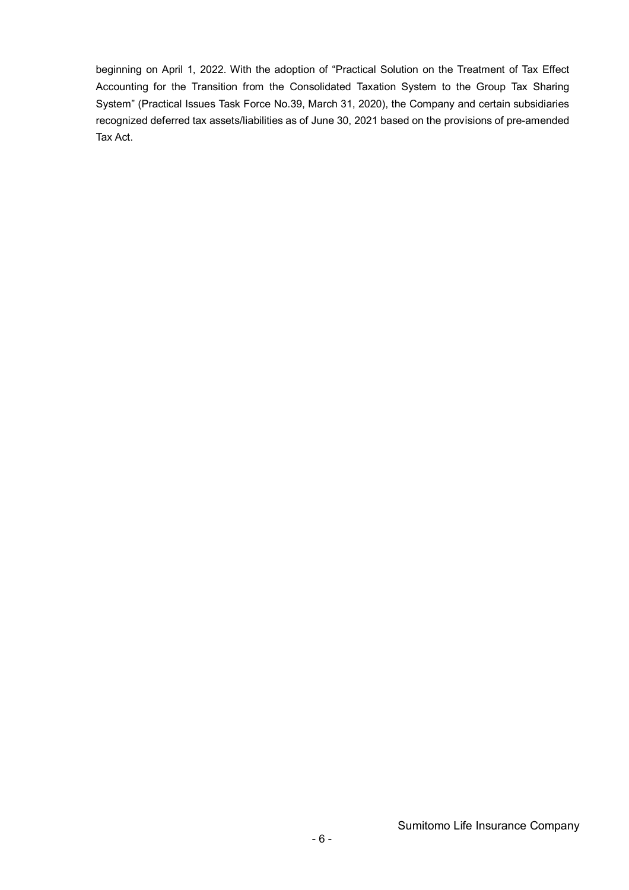beginning on April 1, 2022. With the adoption of "Practical Solution on the Treatment of Tax Effect Accounting for the Transition from the Consolidated Taxation System to the Group Tax Sharing System" (Practical Issues Task Force No.39, March 31, 2020), the Company and certain subsidiaries recognized deferred tax assets/liabilities as of June 30, 2021 based on the provisions of pre-amended Tax Act.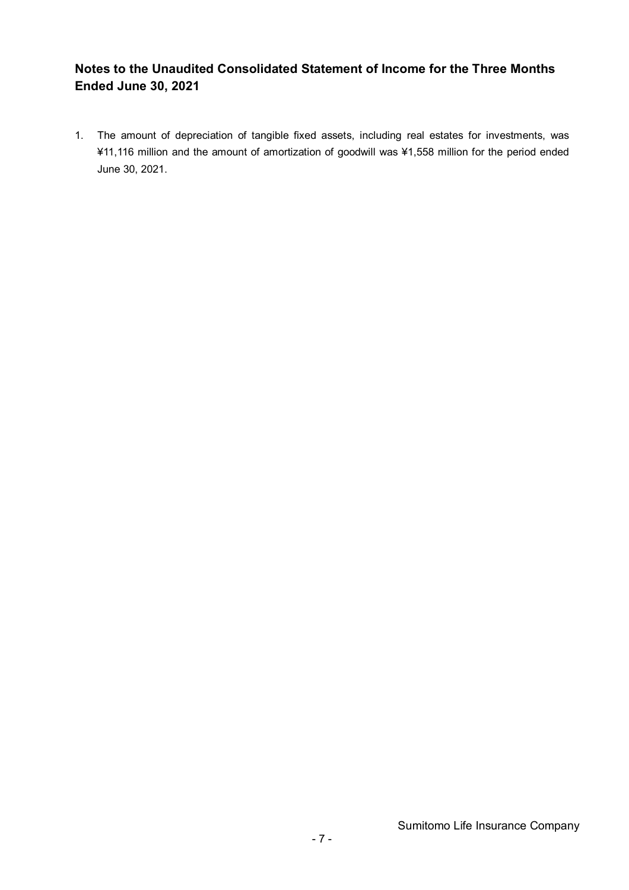## **Notes to the Unaudited Consolidated Statement of Income for the Three Months Ended June 30, 2021**

1. The amount of depreciation of tangible fixed assets, including real estates for investments, was ¥11,116 million and the amount of amortization of goodwill was ¥1,558 million for the period ended June 30, 2021.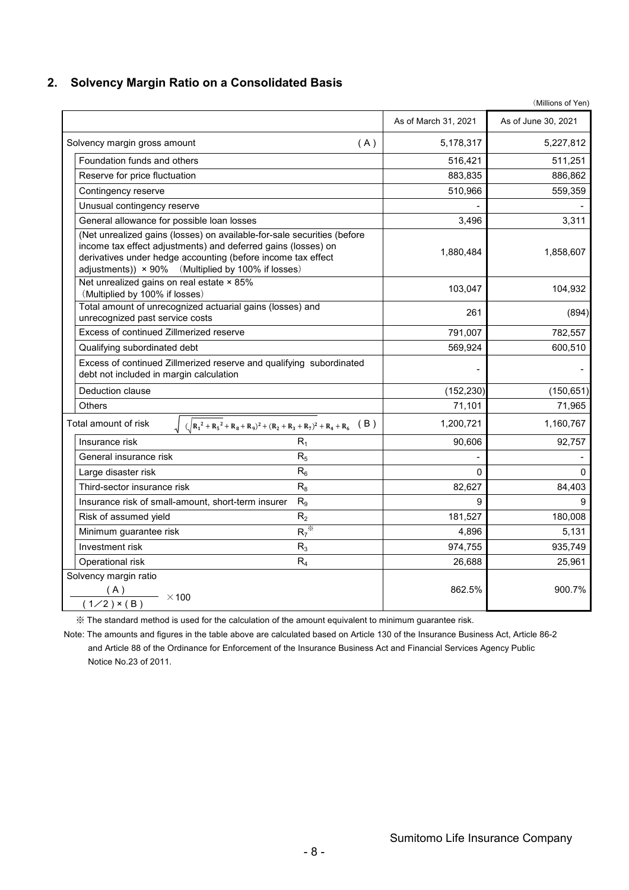### **2. Solvency Margin Ratio on a Consolidated Basis**

|                                                                                                                                                                                                                                                                |     | As of March 31, 2021 | As of June 30, 2021 |
|----------------------------------------------------------------------------------------------------------------------------------------------------------------------------------------------------------------------------------------------------------------|-----|----------------------|---------------------|
| Solvency margin gross amount                                                                                                                                                                                                                                   | (A) | 5,178,317            | 5,227,812           |
| Foundation funds and others                                                                                                                                                                                                                                    |     | 516,421              | 511,251             |
| Reserve for price fluctuation                                                                                                                                                                                                                                  |     | 883,835              | 886,862             |
| Contingency reserve                                                                                                                                                                                                                                            |     | 510,966              | 559,359             |
| Unusual contingency reserve                                                                                                                                                                                                                                    |     |                      |                     |
| General allowance for possible loan losses                                                                                                                                                                                                                     |     | 3,496                | 3,311               |
| (Net unrealized gains (losses) on available-for-sale securities (before<br>income tax effect adjustments) and deferred gains (losses) on<br>derivatives under hedge accounting (before income tax effect<br>adjustments)) × 90% (Multiplied by 100% if losses) |     | 1,880,484            | 1,858,607           |
| Net unrealized gains on real estate × 85%<br>(Multiplied by 100% if losses)                                                                                                                                                                                    |     | 103,047              | 104,932             |
| Total amount of unrecognized actuarial gains (losses) and<br>unrecognized past service costs                                                                                                                                                                   |     | 261                  | (894)               |
| Excess of continued Zillmerized reserve                                                                                                                                                                                                                        |     | 791,007              | 782,557             |
| Qualifying subordinated debt                                                                                                                                                                                                                                   |     | 569,924              | 600,510             |
| Excess of continued Zillmerized reserve and qualifying subordinated<br>debt not included in margin calculation                                                                                                                                                 |     |                      |                     |
| Deduction clause                                                                                                                                                                                                                                               |     | (152, 230)           | (150, 651)          |
| Others                                                                                                                                                                                                                                                         |     | 71,101               | 71,965              |
| $\int (\sqrt{R_1^2 + R_5^2 + R_8 + R_9)^2 + (R_2 + R_3 + R_7)^2 + R_4 + R_6}$ (B)<br>Total amount of risk                                                                                                                                                      |     | 1,200,721            | 1,160,767           |
| $R_1$<br>Insurance risk                                                                                                                                                                                                                                        |     | 90,606               | 92,757              |
| $R_5$<br>General insurance risk                                                                                                                                                                                                                                |     |                      |                     |
| $R_6$<br>Large disaster risk                                                                                                                                                                                                                                   |     | $\Omega$             | $\Omega$            |
| $R_8$<br>Third-sector insurance risk                                                                                                                                                                                                                           |     | 82,627               | 84,403              |
| $R_{9}$<br>Insurance risk of small-amount, short-term insurer                                                                                                                                                                                                  |     | 9                    | 9                   |
| R <sub>2</sub><br>Risk of assumed yield                                                                                                                                                                                                                        |     | 181,527              | 180,008             |
| $R_7^*$<br>Minimum guarantee risk                                                                                                                                                                                                                              |     | 4,896                | 5,131               |
| Investment risk<br>$R_3$                                                                                                                                                                                                                                       |     | 974,755              | 935,749             |
| $R_4$<br>Operational risk                                                                                                                                                                                                                                      |     | 26,688               | 25,961              |
| Solvency margin ratio<br>(A)<br>$\frac{(A)}{(1/2) \times (B)}$ × 100                                                                                                                                                                                           |     | 862.5%               | 900.7%              |

※ The standard method is used for the calculation of the amount equivalent to minimum guarantee risk.

Note: The amounts and figures in the table above are calculated based on Article 130 of the Insurance Business Act, Article 86-2 and Article 88 of the Ordinance for Enforcement of the Insurance Business Act and Financial Services Agency Public Notice No.23 of 2011.

(Millions of Yen)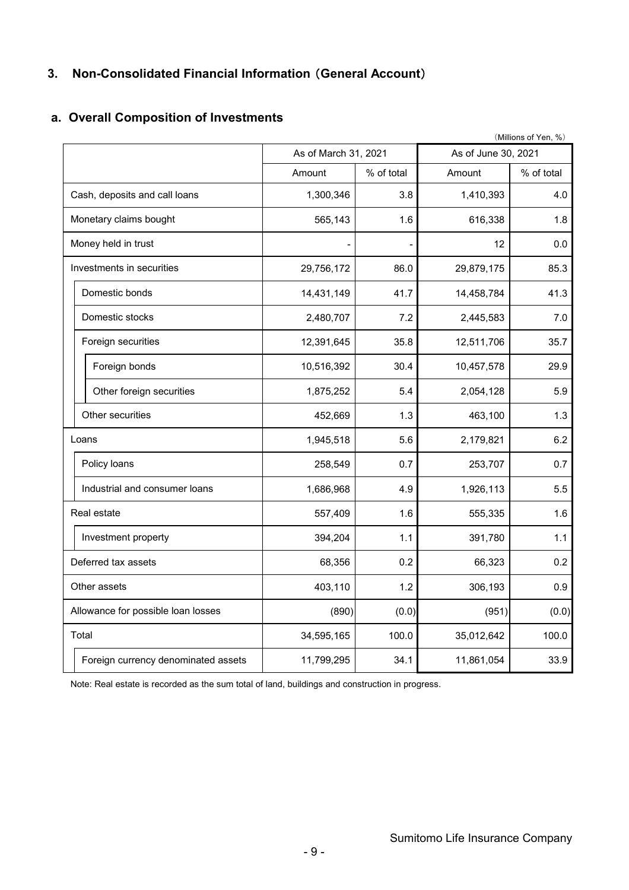## **3. Non-Consolidated Financial Information** (**General Account**)

## **a. Overall Composition of Investments**

|                                     |                      |            |                     | (Millions of Yen, %) |
|-------------------------------------|----------------------|------------|---------------------|----------------------|
|                                     | As of March 31, 2021 |            | As of June 30, 2021 |                      |
|                                     | Amount               | % of total | Amount              | % of total           |
| Cash, deposits and call loans       | 1,300,346            | 3.8        | 1,410,393           | 4.0                  |
| Monetary claims bought              | 565,143              | 1.6        | 616,338             | 1.8                  |
| Money held in trust                 |                      |            | 12                  | 0.0                  |
| Investments in securities           | 29,756,172           | 86.0       | 29,879,175          | 85.3                 |
| Domestic bonds                      | 14,431,149           | 41.7       | 14,458,784          | 41.3                 |
| Domestic stocks                     | 2,480,707            | 7.2        | 2,445,583           | 7.0                  |
| Foreign securities                  | 12,391,645           | 35.8       | 12,511,706          | 35.7                 |
| Foreign bonds                       | 10,516,392           | 30.4       | 10,457,578          | 29.9                 |
| Other foreign securities            | 1,875,252            | 5.4        | 2,054,128           | 5.9                  |
| Other securities                    | 452,669              | 1.3        | 463,100             | 1.3                  |
| Loans                               | 1,945,518            | 5.6        | 2,179,821           | 6.2                  |
| Policy loans                        | 258,549              | 0.7        | 253,707             | 0.7                  |
| Industrial and consumer loans       | 1,686,968            | 4.9        | 1,926,113           | 5.5                  |
| Real estate                         | 557,409              | 1.6        | 555,335             | 1.6                  |
| Investment property                 | 394,204              | 1.1        | 391,780             | 1.1                  |
| Deferred tax assets                 | 68,356               | 0.2        | 66,323              | 0.2                  |
| Other assets                        | 403,110              | 1.2        | 306,193             | 0.9                  |
| Allowance for possible loan losses  | (890)                | (0.0)      | (951)               | (0.0)                |
| Total                               | 34,595,165           | 100.0      | 35,012,642          | 100.0                |
| Foreign currency denominated assets | 11,799,295           | 34.1       | 11,861,054          | 33.9                 |

Note: Real estate is recorded as the sum total of land, buildings and construction in progress.

Sumitomo Life Insurance Company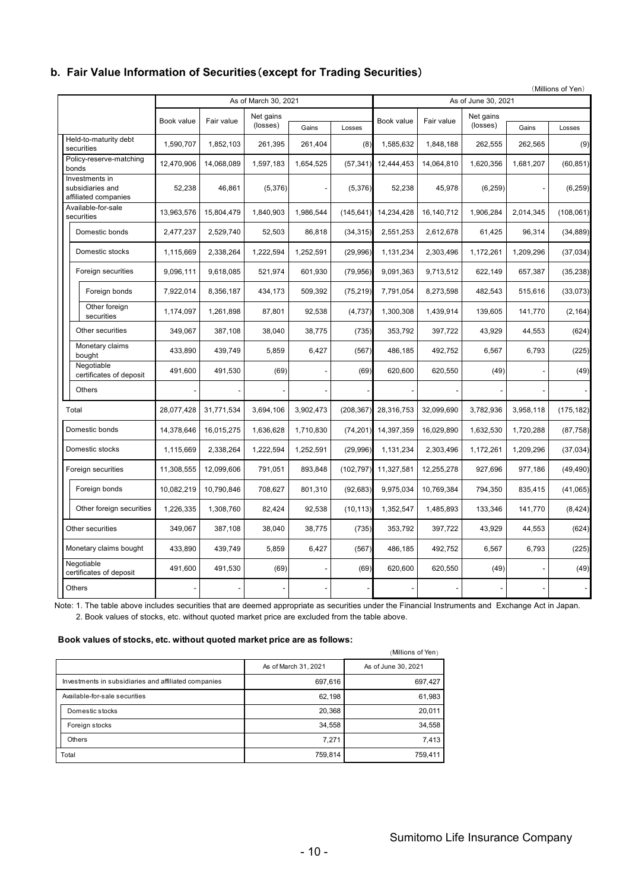### **b. Fair Value Information of Securities**(**except for Trading Securities**)

|                                  |                                                            |            |                                       |           |            |            |            |            |                     |           | (Millions of Yen) |
|----------------------------------|------------------------------------------------------------|------------|---------------------------------------|-----------|------------|------------|------------|------------|---------------------|-----------|-------------------|
|                                  |                                                            |            | As of March 30, 2021                  |           |            |            |            |            | As of June 30, 2021 |           |                   |
|                                  |                                                            |            | Net gains<br>Book value<br>Fair value |           | Book value | Fair value | Net gains  |            |                     |           |                   |
|                                  |                                                            |            |                                       | (losses)  | Gains      | Losses     |            |            | (losses)            | Gains     | Losses            |
|                                  | Held-to-maturity debt<br>securities                        | 1,590,707  | 1,852,103                             | 261,395   | 261,404    | (8)        | 1,585,632  | 1,848,188  | 262,555             | 262,565   | (9)               |
|                                  | Policy-reserve-matching<br>bonds                           | 12,470,906 | 14.068.089                            | 1,597,183 | 1,654,525  | (57, 341)  | 12,444,453 | 14,064,810 | 1,620,356           | 1,681,207 | (60, 851)         |
|                                  | Investments in<br>subsidiaries and<br>affiliated companies | 52,238     | 46,861                                | (5,376)   |            | (5,376)    | 52,238     | 45,978     | (6, 259)            |           | (6, 259)          |
| Available-for-sale<br>securities |                                                            | 13,963,576 | 15,804,479                            | 1,840,903 | 1,986,544  | (145, 641) | 14,234,428 | 16,140,712 | 1,906,284           | 2,014,345 | (108, 061)        |
|                                  | Domestic bonds                                             | 2,477,237  | 2,529,740                             | 52,503    | 86,818     | (34, 315)  | 2,551,253  | 2,612,678  | 61,425              | 96,314    | (34, 889)         |
|                                  | Domestic stocks                                            | 1,115,669  | 2,338,264                             | 1,222,594 | 1,252,591  | (29,996)   | 1,131,234  | 2,303,496  | 1,172,261           | 1,209,296 | (37, 034)         |
|                                  | Foreign securities                                         | 9,096,111  | 9,618,085                             | 521,974   | 601,930    | (79, 956)  | 9,091,363  | 9,713,512  | 622,149             | 657,387   | (35, 238)         |
|                                  | Foreign bonds                                              | 7,922,014  | 8,356,187                             | 434,173   | 509,392    | (75, 219)  | 7,791,054  | 8,273,598  | 482,543             | 515,616   | (33,073)          |
|                                  | Other foreign<br>securities                                | 1,174,097  | 1,261,898                             | 87,801    | 92,538     | (4,737)    | 1,300,308  | 1,439,914  | 139,605             | 141,770   | (2, 164)          |
|                                  | Other securities                                           | 349,067    | 387,108                               | 38,040    | 38,775     | (735)      | 353,792    | 397,722    | 43,929              | 44,553    | (624)             |
|                                  | Monetary claims<br>bought                                  | 433,890    | 439,749                               | 5,859     | 6,427      | (567)      | 486,185    | 492,752    | 6,567               | 6,793     | (225)             |
|                                  | Negotiable<br>certificates of deposit                      | 491,600    | 491,530                               | (69)      |            | (69)       | 620,600    | 620,550    | (49)                |           | (49)              |
|                                  | <b>Others</b>                                              |            |                                       |           |            |            |            |            |                     |           |                   |
|                                  | Total                                                      | 28,077,428 | 31,771,534                            | 3,694,106 | 3,902,473  | (208, 367) | 28,316,753 | 32,099,690 | 3,782,936           | 3,958,118 | (175, 182)        |
|                                  | Domestic bonds                                             | 14,378,646 | 16,015,275                            | 1,636,628 | 1,710,830  | (74, 201)  | 14,397,359 | 16,029,890 | 1,632,530           | 1,720,288 | (87, 758)         |
|                                  | Domestic stocks                                            | 1,115,669  | 2,338,264                             | 1,222,594 | 1,252,591  | (29,996)   | 1,131,234  | 2,303,496  | 1,172,261           | 1,209,296 | (37, 034)         |
|                                  | Foreign securities                                         | 11,308,555 | 12,099,606                            | 791,051   | 893,848    | (102, 797) | 11,327,581 | 12,255,278 | 927,696             | 977,186   | (49, 490)         |
|                                  | Foreign bonds                                              | 10,082,219 | 10,790,846                            | 708,627   | 801,310    | (92, 683)  | 9,975,034  | 10,769,384 | 794,350             | 835,415   | (41,065)          |
|                                  | Other foreign securities                                   | 1,226,335  | 1,308,760                             | 82,424    | 92,538     | (10, 113)  | 1,352,547  | 1,485,893  | 133,346             | 141,770   | (8, 424)          |
|                                  | Other securities                                           | 349,067    | 387,108                               | 38,040    | 38,775     | (735)      | 353,792    | 397,722    | 43,929              | 44,553    | (624)             |
|                                  | Monetary claims bought                                     | 433,890    | 439,749                               | 5,859     | 6,427      | (567)      | 486,185    | 492,752    | 6,567               | 6,793     | (225)             |
|                                  | Negotiable<br>certificates of deposit                      | 491,600    | 491,530                               | (69)      |            | (69)       | 620,600    | 620,550    | (49)                |           | (49)              |
|                                  | <b>Others</b>                                              |            |                                       |           |            |            |            |            |                     |           |                   |

Note: 1. The table above includes securities that are deemed appropriate as securities under the Financial Instruments and Exchange Act in Japan. 2. Book values of stocks, etc. without quoted market price are excluded from the table above.

#### **Book values of stocks, etc. without quoted market price are as follows:**

|                                                      |                      | (Millions of Yen)   |
|------------------------------------------------------|----------------------|---------------------|
|                                                      | As of March 31, 2021 | As of June 30, 2021 |
| Investments in subsidiaries and affiliated companies | 697,616              | 697,427             |
| Available-for-sale securities                        | 62,198               | 61,983              |
| Domestic stocks                                      | 20,368               | 20,011              |
| Foreign stocks                                       | 34,558               | 34,558              |
| Others                                               | 7,271                | 7,413               |
| Total                                                | 759,814              | 759,411             |